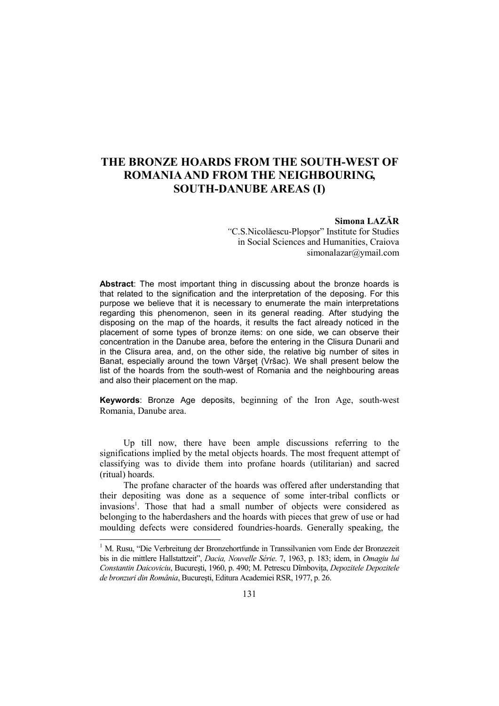## **THE BRONZE HOARDS FROM THE SOUTH-WEST OF ROMANIA AND FROM THE NEIGHBOURING, SOUTH-DANUBE AREAS (I)**

## **Simona LAZĂR**

*"*C.S.Nicolăescu-Plopşor" Institute for Studies in Social Sciences and Humanities, Craiova simonalazar@ymail.com

**Abstract**: The most important thing in discussing about the bronze hoards is that related to the signification and the interpretation of the deposing. For this purpose we believe that it is necessary to enumerate the main interpretations regarding this phenomenon, seen in its general reading. After studying the disposing on the map of the hoards, it results the fact already noticed in the placement of some types of bronze items: on one side, we can observe their concentration in the Danube area, before the entering in the Clisura Dunarii and in the Clisura area, and, on the other side, the relative big number of sites in Banat, especially around the town Vârșet (Vršac). We shall present below the list of the hoards from the south-west of Romania and the neighbouring areas and also their placement on the map.

**Keywords**: Bronze Age deposits, beginning of the Iron Age, south-west Romania, Danube area.

Up till now, there have been ample discussions referring to the significations implied by the metal objects hoards. The most frequent attempt of classifying was to divide them into profane hoards (utilitarian) and sacred (ritual) hoards.

The profane character of the hoards was offered after understanding that their depositing was done as a sequence of some inter-tribal conflicts or invasions<sup>1</sup>. Those that had a small number of objects were considered as belonging to the haberdashers and the hoards with pieces that grew of use or had moulding defects were considered foundries-hoards. Generally speaking, the

<sup>&</sup>lt;sup>1</sup> M. Rusu, "Die Verbreitung der Bronzehortfunde in Transsilvanien vom Ende der Bronzezeit bis in die mittlere Hallstattzeit", *Dacia, Nouvelle Série*. 7, 1963, p. 183; idem, in *Omagiu lui Constantin Daicoviciu*, București, 1960, p. 490; M. Petrescu Dîmbovița, Depozitele Depozitele *de bronzuri din România*, Bucureşti, Editura Academiei RSR, 1977, p. 26.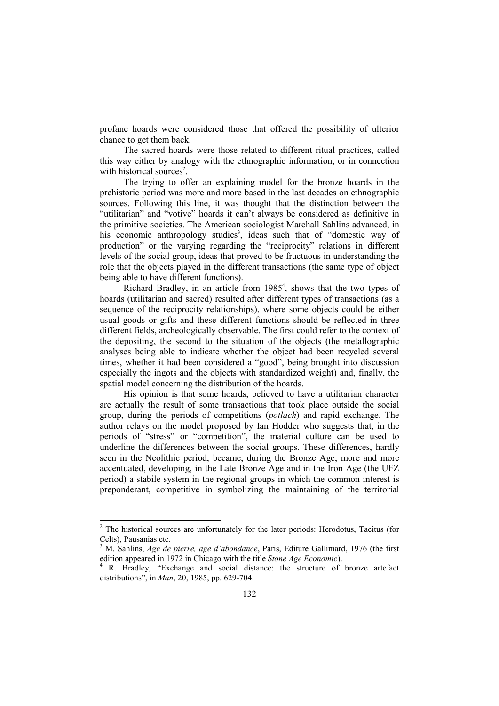profane hoards were considered those that offered the possibility of ulterior chance to get them back.

The sacred hoards were those related to different ritual practices, called this way either by analogy with the ethnographic information, or in connection with historical sources<sup>2</sup>.

The trying to offer an explaining model for the bronze hoards in the prehistoric period was more and more based in the last decades on ethnographic sources. Following this line, it was thought that the distinction between the "utilitarian" and "votive" hoards it can't always be considered as definitive in the primitive societies. The American sociologist Marchall Sahlins advanced, in his economic anthropology studies<sup>3</sup>, ideas such that of "domestic way of production" or the varying regarding the "reciprocity" relations in different levels of the social group, ideas that proved to be fructuous in understanding the role that the objects played in the different transactions (the same type of object being able to have different functions).

Richard Bradley, in an article from 1985<sup>4</sup>, shows that the two types of hoards (utilitarian and sacred) resulted after different types of transactions (as a sequence of the reciprocity relationships), where some objects could be either usual goods or gifts and these different functions should be reflected in three different fields, archeologically observable. The first could refer to the context of the depositing, the second to the situation of the objects (the metallographic analyses being able to indicate whether the object had been recycled several times, whether it had been considered a "good", being brought into discussion especially the ingots and the objects with standardized weight) and, finally, the spatial model concerning the distribution of the hoards.

His opinion is that some hoards, believed to have a utilitarian character are actually the result of some transactions that took place outside the social group, during the periods of competitions (*potlach*) and rapid exchange. The author relays on the model proposed by Ian Hodder who suggests that, in the periods of "stress" or "competition", the material culture can be used to underline the differences between the social groups. These differences, hardly seen in the Neolithic period, became, during the Bronze Age, more and more accentuated, developing, in the Late Bronze Age and in the Iron Age (the UFZ period) a stabile system in the regional groups in which the common interest is preponderant, competitive in symbolizing the maintaining of the territorial

<sup>&</sup>lt;sup>2</sup> The historical sources are unfortunately for the later periods: Herodotus, Tacitus (for Celts), Pausanias etc.

<sup>3</sup> M. Sahlins, *Age de pierre, age d'abondance*, Paris, Editure Gallimard, 1976 (the first edition appeared in 1972 in Chicago with the title *Stone Age Economic*).

<sup>4</sup> R. Bradley, "Exchange and social distance: the structure of bronze artefact distributions", in *Man*, 20, 1985, pp. 629-704.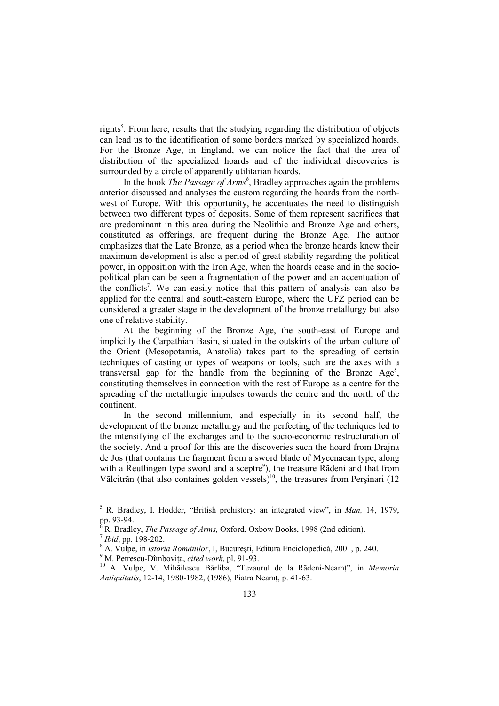rights<sup>5</sup>. From here, results that the studying regarding the distribution of objects can lead us to the identification of some borders marked by specialized hoards. For the Bronze Age, in England, we can notice the fact that the area of distribution of the specialized hoards and of the individual discoveries is surrounded by a circle of apparently utilitarian hoards.

In the book *The Passage of Arms<sup>6</sup>* , Bradley approaches again the problems anterior discussed and analyses the custom regarding the hoards from the northwest of Europe. With this opportunity, he accentuates the need to distinguish between two different types of deposits. Some of them represent sacrifices that are predominant in this area during the Neolithic and Bronze Age and others, constituted as offerings, are frequent during the Bronze Age. The author emphasizes that the Late Bronze, as a period when the bronze hoards knew their maximum development is also a period of great stability regarding the political power, in opposition with the Iron Age, when the hoards cease and in the sociopolitical plan can be seen a fragmentation of the power and an accentuation of the conflicts<sup>7</sup>. We can easily notice that this pattern of analysis can also be applied for the central and south-eastern Europe, where the UFZ period can be considered a greater stage in the development of the bronze metallurgy but also one of relative stability.

At the beginning of the Bronze Age, the south-east of Europe and implicitly the Carpathian Basin, situated in the outskirts of the urban culture of the Orient (Mesopotamia, Anatolia) takes part to the spreading of certain techniques of casting or types of weapons or tools, such are the axes with a transversal gap for the handle from the beginning of the Bronze  $Age^8$ , constituting themselves in connection with the rest of Europe as a centre for the spreading of the metallurgic impulses towards the centre and the north of the continent.

In the second millennium, and especially in its second half, the development of the bronze metallurgy and the perfecting of the techniques led to the intensifying of the exchanges and to the socio-economic restructuration of the society. And a proof for this are the discoveries such the hoard from Drajna de Jos (that contains the fragment from a sword blade of Mycenaean type, along with a Reutlingen type sword and a sceptre<sup>9</sup>), the treasure Rădeni and that from Vălcitrăn (that also containes golden vessels)<sup>10</sup>, the treasures from Persinari (12

 5 R. Bradley, I. Hodder, "British prehistory: an integrated view", in *Man,* 14, 1979, pp. 93-94.

<sup>6</sup> R. Bradley, *The Passage of Arms,* Oxford, Oxbow Books, 1998 (2nd edition).

<sup>7</sup> *Ibid*, pp. 198-202.

<sup>8</sup> A. Vulpe, in *Istoria Românilor*, I, Bucureşti, Editura Enciclopedică, 2001, p. 240. <sup>9</sup> M. Petrescu-Dîmbovița, *cited work*, pl. 91-93.

<sup>&</sup>lt;sup>10</sup> A. Vulpe, V. Mihăilescu Bârliba, "Tezaurul de la Rădeni-Neamț", in Memoria *Antiquitatis*, 12-14, 1980-1982, (1986), Piatra Neamt, p. 41-63.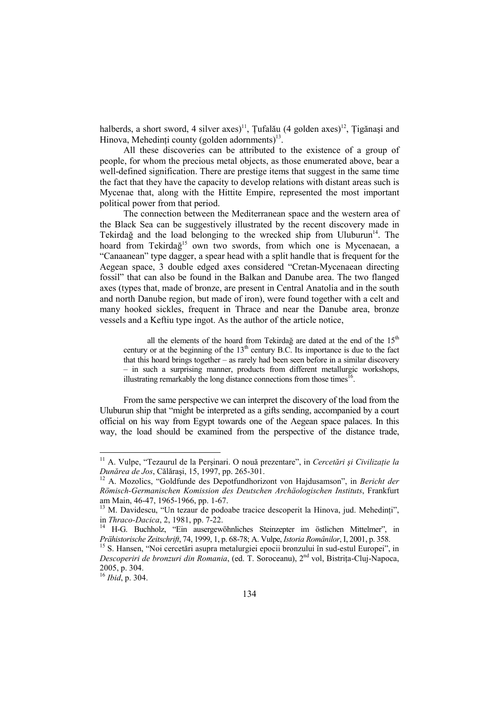halberds, a short sword, 4 silver axes)<sup>11</sup>, Tufalău (4 golden axes)<sup>12</sup>, Tigănasi and Hinova, Mehedinți county (golden adornments) $^{13}$ .

All these discoveries can be attributed to the existence of a group of people, for whom the precious metal objects, as those enumerated above, bear a well-defined signification. There are prestige items that suggest in the same time the fact that they have the capacity to develop relations with distant areas such is Mycenae that, along with the Hittite Empire, represented the most important political power from that period.

The connection between the Mediterranean space and the western area of the Black Sea can be suggestively illustrated by the recent discovery made in Tekirdağ and the load belonging to the wrecked ship from Uluburun<sup>14</sup>. The hoard from Tekirdağ<sup>15</sup> own two swords, from which one is Mycenaean, a "Canaanean" type dagger, a spear head with a split handle that is frequent for the Aegean space, 3 double edged axes considered "Cretan-Mycenaean directing fossil" that can also be found in the Balkan and Danube area. The two flanged axes (types that, made of bronze, are present in Central Anatolia and in the south and north Danube region, but made of iron), were found together with a celt and many hooked sickles, frequent in Thrace and near the Danube area, bronze vessels and a Keftiu type ingot. As the author of the article notice,

all the elements of the hoard from Tekirdağ are dated at the end of the  $15<sup>th</sup>$ century or at the beginning of the  $13<sup>th</sup>$  century B.C. Its importance is due to the fact that this hoard brings together – as rarely had been seen before in a similar discovery – in such a surprising manner, products from different metallurgic workshops, illustrating remarkably the long distance connections from those times<sup>16</sup> .

From the same perspective we can interpret the discovery of the load from the Uluburun ship that "might be interpreted as a gifts sending, accompanied by a court official on his way from Egypt towards one of the Aegean space palaces. In this way, the load should be examined from the perspective of the distance trade,

1

<sup>&</sup>lt;sup>11</sup> A. Vulpe, "Tezaurul de la Perșinari. O nouă prezentare", in *Cercetări și Civilizație la Dunărea de Jos*, Călăraşi, 15, 1997, pp. 265-301.

<sup>12</sup> A. Mozolics, "Goldfunde des Depotfundhorizont von Hajdusamson", in *Bericht der Römisch-Germanischen Komission des Deutschen Archäologischen Instituts*, Frankfurt am Main, 46-47, 1965-1966, pp. 1-67.

 $13$  M. Davidescu, "Un tezaur de podoabe tracice descoperit la Hinova, jud. Mehedinți", in *Thraco-Dacica*, 2, 1981, pp. 7-22.

<sup>14</sup> H-G. Buchholz, "Ein ausergewöhnliches Steinzepter im östlichen Mittelmer", in *Prähistorische Zeitschrift*, 74, 1999, 1, p. 68-78; A. Vulpe, *Istoria Românilor*, I, 2001, p. 358.

<sup>&</sup>lt;sup>15</sup> S. Hansen, "Noi cercetări asupra metalurgiei epocii bronzului în sud-estul Europei", in *Descoperiri de bronzuri din Romania*, (ed. T. Soroceanu), 2<sup>nd</sup> vol, Bistrița-Cluj-Napoca, 2005, p. 304.

 $^{200}$ , p.  $\frac{16}{16}$  *Ibid*, p. 304.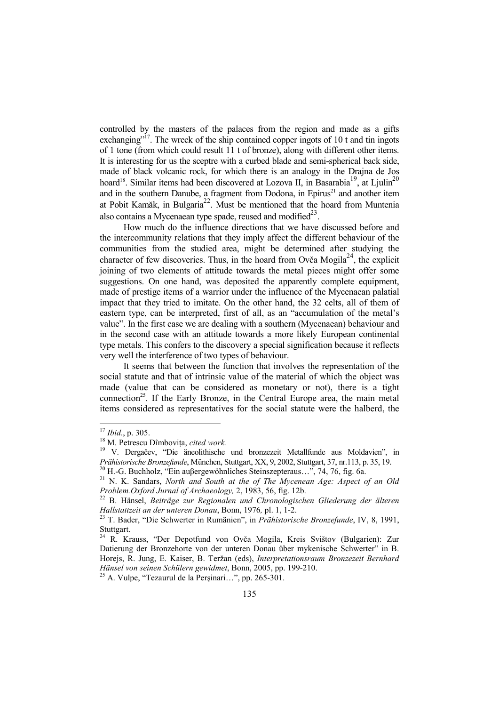controlled by the masters of the palaces from the region and made as a gifts exchanging"<sup>17</sup>. The wreck of the ship contained copper ingots of 10 t and tin ingots of 1 tone (from which could result 11 t of bronze), along with different other items. It is interesting for us the sceptre with a curbed blade and semi-spherical back side, made of black volcanic rock, for which there is an analogy in the Drajna de Jos hoard<sup>18</sup>. Similar items had been discovered at Lozova II, in Basarabia<sup>19</sup>, at Ljulin<sup>20</sup> and in the southern Danube, a fragment from Dodona, in Epirus<sup>21</sup> and another item at Pobit Kamăk, in Bulgaria22. Must be mentioned that the hoard from Muntenia also contains a Mycenaean type spade, reused and modified $^{23}$ .

How much do the influence directions that we have discussed before and the intercommunity relations that they imply affect the different behaviour of the communities from the studied area, might be determined after studying the character of few discoveries. Thus, in the hoard from Ovča Mogila<sup>24</sup>, the explicit joining of two elements of attitude towards the metal pieces might offer some suggestions. On one hand, was deposited the apparently complete equipment, made of prestige items of a warrior under the influence of the Mycenaean palatial impact that they tried to imitate. On the other hand, the 32 celts, all of them of eastern type, can be interpreted, first of all, as an "accumulation of the metal's value". In the first case we are dealing with a southern (Mycenaean) behaviour and in the second case with an attitude towards a more likely European continental type metals. This confers to the discovery a special signification because it reflects very well the interference of two types of behaviour.

It seems that between the function that involves the representation of the social statute and that of intrinsic value of the material of which the object was made (value that can be considered as monetary or not), there is a tight connection<sup>25</sup>. If the Early Bronze, in the Central Europe area, the main metal items considered as representatives for the social statute were the halberd, the

1

 $^{25}$  A. Vulpe, "Tezaurul de la Perșinari...", pp. 265-301.

<sup>17</sup> *Ibid*., p. 305.

<sup>&</sup>lt;sup>18</sup> M. Petrescu Dîmbovița, cited work.

<sup>&</sup>lt;sup>19</sup> V. Dergačev, "Die äneolithische und bronzezeit Metallfunde aus Moldavien", in *Prähistorische Bronzefunde*, München, Stuttgart, XX, 9, 2002, Stuttgart, 37, nr.113, p. 35, 19.

<sup>20</sup> H.-G. Buchholz, "Ein auβergewöhnliches Steinszepteraus…", 74, 76, fig. 6a.

<sup>21</sup> N. K. Sandars, *North and South at the of The Mycenean Age: Aspect of an Old Problem.Oxford Jurnal of Archaeology,* 2, 1983, 56, fig. 12b.

<sup>22</sup> B. Hänsel, *Beiträge zur Regionalen und Chronologischen Gliederung der älteren Hallstattzeit an der unteren Donau*, Bonn, 1976*,* pl. 1, 1-2.

<sup>23</sup> T. Bader, "Die Schwerter in Rumänien", in *Prähistorische Bronzefunde*, IV, 8, 1991, Stuttgart.

<sup>24</sup> R. Krauss, "Der Depotfund von Ovča Mogila, Kreis Svištov (Bulgarien): Zur Datierung der Bronzehorte von der unteren Donau über mykenische Schwerter" in B. Horejs, R. Jung, E. Kaiser, B. Teržan (eds), *Interpretationsraum Bronzezeit Bernhard Hänsel von seinen Schülern gewidmet*, Bonn, 2005, pp. 199-210.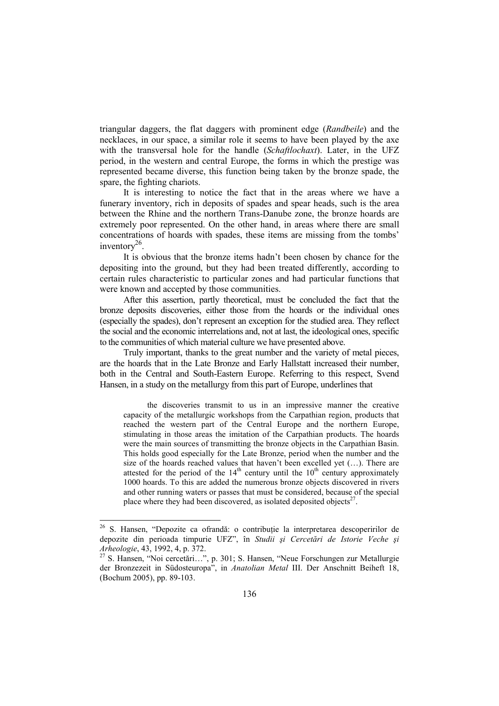triangular daggers, the flat daggers with prominent edge (*Randbeile*) and the necklaces, in our space, a similar role it seems to have been played by the axe with the transversal hole for the handle (*Schaftlochaxt*). Later, in the UFZ period, in the western and central Europe, the forms in which the prestige was represented became diverse, this function being taken by the bronze spade, the spare, the fighting chariots.

It is interesting to notice the fact that in the areas where we have a funerary inventory, rich in deposits of spades and spear heads, such is the area between the Rhine and the northern Trans-Danube zone, the bronze hoards are extremely poor represented. On the other hand, in areas where there are small concentrations of hoards with spades, these items are missing from the tombs' inventory $^{26}$ .

It is obvious that the bronze items hadn't been chosen by chance for the depositing into the ground, but they had been treated differently, according to certain rules characteristic to particular zones and had particular functions that were known and accepted by those communities.

After this assertion, partly theoretical, must be concluded the fact that the bronze deposits discoveries, either those from the hoards or the individual ones (especially the spades), don't represent an exception for the studied area. They reflect the social and the economic interrelations and, not at last, the ideological ones, specific to the communities of which material culture we have presented above.

Truly important, thanks to the great number and the variety of metal pieces, are the hoards that in the Late Bronze and Early Hallstatt increased their number, both in the Central and South-Eastern Europe. Referring to this respect, Svend Hansen, in a study on the metallurgy from this part of Europe, underlines that

the discoveries transmit to us in an impressive manner the creative capacity of the metallurgic workshops from the Carpathian region, products that reached the western part of the Central Europe and the northern Europe, stimulating in those areas the imitation of the Carpathian products. The hoards were the main sources of transmitting the bronze objects in the Carpathian Basin. This holds good especially for the Late Bronze, period when the number and the size of the hoards reached values that haven't been excelled yet (…). There are attested for the period of the  $14<sup>th</sup>$  century until the  $10<sup>th</sup>$  century approximately 1000 hoards. To this are added the numerous bronze objects discovered in rivers and other running waters or passes that must be considered, because of the special place where they had been discovered, as isolated deposited objects $2^7$ .

 $\overline{a}$ 

<sup>&</sup>lt;sup>26</sup> S. Hansen, "Depozite ca ofrandă: o contribuție la interpretarea descoperirilor de depozite din perioada timpurie UFZ", în *Studii şi Cercetări de Istorie Veche şi Arheologie*, 43, 1992, 4, p. 372.

<sup>27</sup> S. Hansen, "Noi cercetări…", p. 301; S. Hansen, "Neue Forschungen zur Metallurgie der Bronzezeit in Südosteuropa", in *Anatolian Metal* III. Der Anschnitt Beiheft 18, (Bochum 2005), pp. 89-103.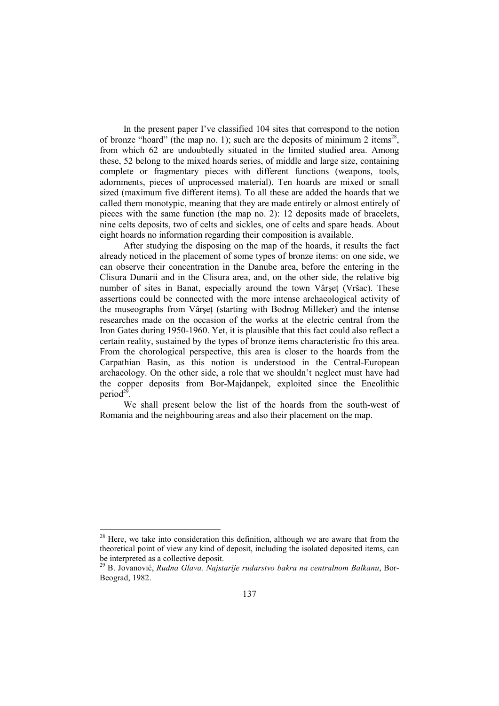In the present paper I've classified 104 sites that correspond to the notion of bronze "hoard" (the map no. 1); such are the deposits of minimum 2 items<sup>28</sup>, from which 62 are undoubtedly situated in the limited studied area. Among these, 52 belong to the mixed hoards series, of middle and large size, containing complete or fragmentary pieces with different functions (weapons, tools, adornments, pieces of unprocessed material). Ten hoards are mixed or small sized (maximum five different items). To all these are added the hoards that we called them monotypic, meaning that they are made entirely or almost entirely of pieces with the same function (the map no. 2): 12 deposits made of bracelets, nine celts deposits, two of celts and sickles, one of celts and spare heads. About eight hoards no information regarding their composition is available.

After studying the disposing on the map of the hoards, it results the fact already noticed in the placement of some types of bronze items: on one side, we can observe their concentration in the Danube area, before the entering in the Clisura Dunarii and in the Clisura area, and, on the other side, the relative big number of sites in Banat, especially around the town Vârșeț (Vršac). These assertions could be connected with the more intense archaeological activity of the museographs from Vârset (starting with Bodrog Milleker) and the intense researches made on the occasion of the works at the electric central from the Iron Gates during 1950-1960. Yet, it is plausible that this fact could also reflect a certain reality, sustained by the types of bronze items characteristic fro this area. From the chorological perspective, this area is closer to the hoards from the Carpathian Basin, as this notion is understood in the Central-European archaeology. On the other side, a role that we shouldn't neglect must have had the copper deposits from Bor-Majdanpek, exploited since the Eneolithic period<sup>29</sup>.

We shall present below the list of the hoards from the south-west of Romania and the neighbouring areas and also their placement on the map.

 $\overline{a}$ 

 $2<sup>28</sup>$  Here, we take into consideration this definition, although we are aware that from the theoretical point of view any kind of deposit, including the isolated deposited items, can be interpreted as a collective deposit.

<sup>29</sup> B. Jovanović, *Rudna Glava. Najstarije rudarstvo bakra na centralnom Balkanu*, Bor-Beograd, 1982.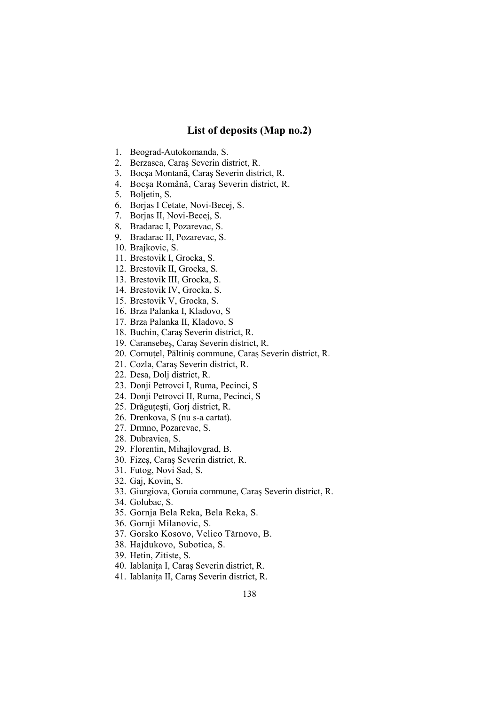## **List of deposits (Map no.2)**

- 1. Beograd-Autokomanda, S.
- 2. Berzasca, Caraş Severin district, R.
- 3. Bocşa Montană, Caraş Severin district, R.
- 4. Bocşa Română, Caraş Severin district, R.
- 5. Boljetin, S.
- 6. Borjas I Cetate, Novi-Becej, S.
- 7. Borjas II, Novi-Becej, S.
- 8. Bradarac I, Pozarevac, S.
- 9. Bradarac II, Pozarevac, S.
- 10. Brajkovic, S.
- 11. Brestovik I, Grocka, S.
- 12. Brestovik II, Grocka, S.
- 13. Brestovik III, Grocka, S.
- 14. Brestovik IV, Grocka, S.
- 15. Brestovik V, Grocka, S.
- 16. Brza Palanka I, Kladovo, S
- 17. Brza Palanka II, Kladovo, S
- 18. Buchin, Caraş Severin district, R.
- 19. Caransebeş, Caraş Severin district, R.
- 20. Cornutel, Păltiniș commune, Caraș Severin district, R.
- 21. Cozla, Caraş Severin district, R.
- 22. Desa, Dolj district, R.
- 23. Donji Petrovci I, Ruma, Pecinci, S
- 24. Donji Petrovci II, Ruma, Pecinci, S
- 25. Drăguțești, Gorj district, R.
- 26. Drenkova, S (nu s-a cartat).
- 27. Drmno, Pozarevac, S.
- 28. Dubravica, S.
- 29. Florentin, Mihajlovgrad, B.
- 30. Fizeş, Caraş Severin district, R.
- 31. Futog, Novi Sad, S.
- 32. Gaj, Kovin, S.
- 33. Giurgiova, Goruia commune, Caraş Severin district, R.
- 34. Golubac, S.
- 35. Gornja Bela Reka, Bela Reka, S.
- 36. Gornji Milanovic, S.
- 37. Gorsko Kosovo, Velico Tărnovo, B.
- 38. Hajdukovo, Subotica, S.
- 39. Hetin, Zitiste, S.
- 40. Iablanița I, Caraș Severin district, R.
- 41. Iablanița II, Caraș Severin district, R.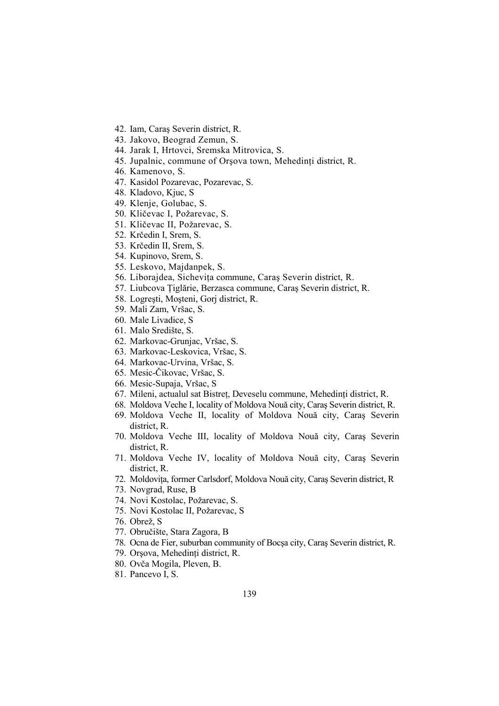- 42. Iam, Caraş Severin district, R.
- 43. Jakovo, Beograd Zemun, S.
- 44. Jarak I, Hrtovci, Sremska Mitrovica, S.
- 45. Jupalnic, commune of Orşova town, Mehedinți district, R.
- 46. Kamenovo, S.
- 47. Kasidol Pozarevac, Pozarevac, S.
- 48. Kladovo, Kjuc, S
- 49. Klenje, Golubac, S.
- 50. Kličevac I, Požarevac, S.
- 51. Kličevac II, Požarevac, S.
- 52. Krčedin I, Srem, S.
- 53. Krčedin II, Srem, S.
- 54. Kupinovo, Srem, S.
- 55. Leskovo, Majdanpek, S.
- 56. Liborajdea, Sichevita commune, Caras Severin district, R.
- 57. Liubcova Țiglărie, Berzasca commune, Caraș Severin district, R.
- 58. Logreşti, Moşteni, Gorj district, R.
- 59. Mali Zam, Vršac, S.
- 60. Male Livadice, S
- 61. Malo Središte, S.
- 62. Markovac-Grunjac, Vršac, S.
- 63. Markovac-Leskovica, Vršac, S.
- 64. Markovac-Urvina, Vršac, S.
- 65. Mesic-Čikovac, Vršac, S.
- 66. Mesic-Supaja, Vršac, S
- 67. Mileni, actualul sat Bistreț, Deveselu commune, Mehedinți district, R.
- 68. Moldova Veche I, locality of Moldova Nouă city, Caraş Severin district, R.
- 69. Moldova Veche II, locality of Moldova Nouă city, Caraş Severin district, R.
- 70. Moldova Veche III, locality of Moldova Nouă city, Caraş Severin district, R.
- 71. Moldova Veche IV, locality of Moldova Nouă city, Caraş Severin district, R.
- 72. Moldovița, former Carlsdorf, Moldova Nouă city, Caraș Severin district, R
- 73. Novgrad, Ruse, B
- 74. Novi Kostolac, Požarevac, S.
- 75. Novi Kostolac II, Požarevac, S
- 76. Obrež, S
- 77. Obručište, Stara Zagora, B
- 78. Ocna de Fier, suburban community of Bocşa city, Caraş Severin district, R.
- 79. Orşova, Mehedinți district, R.
- 80. Ovča Mogila, Pleven, B.
- 81. Pancevo I, S.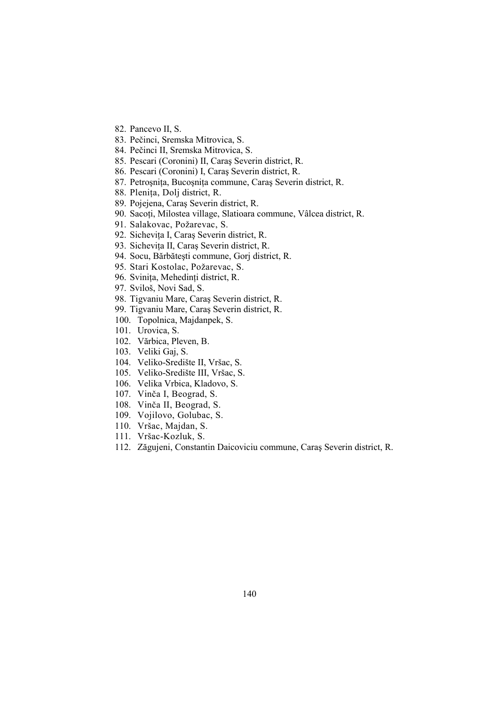- 82. Pancevo II, S.
- 83. Pečinci, Sremska Mitrovica, S.
- 84. Pečinci II, Sremska Mitrovica, S.
- 85. Pescari (Coronini) II, Caraş Severin district, R.
- 86. Pescari (Coronini) I, Caraş Severin district, R.
- 87. Petrosnita, Bucosnita commune, Caras Severin district, R.
- 88. Plenița, Dolj district, R.
- 89. Pojejena, Caraş Severin district, R.
- 90. Sacoți, Milostea village, Slatioara commune, Vâlcea district, R.
- 91. Salakovac, Požarevac, S.
- 92. Sichevita I, Caraş Severin district, R.
- 93. Sichevița II, Caraș Severin district, R.
- 94. Socu, Bărbăteşti commune, Gorj district, R.
- 95. Stari Kostolac, Požarevac, S.
- 96. Svinița, Mehedinți district, R.
- 97. Sviloš, Novi Sad, S.
- 98. Tigvaniu Mare, Caraş Severin district, R.
- 99. Tigvaniu Mare, Caraş Severin district, R.
- 100. Topolnica, Majdanpek, S.
- 101. Urovica, S.
- 102. Vărbica, Pleven, B.
- 103. Veliki Gaj, S.
- 104. Veliko-Središte II, Vršac, S.
- 105. Veliko-Središte III, Vršac, S.
- 106. Velika Vrbica, Kladovo, S.
- 107. Vinča I, Beograd, S.
- 108. Vinča II, Beograd, S.
- 109. Vojilovo, Golubac, S.
- 110. Vršac, Majdan, S.
- 111. Vršac-Kozluk, S.
- 112. Zăgujeni, Constantin Daicoviciu commune, Caraş Severin district, R.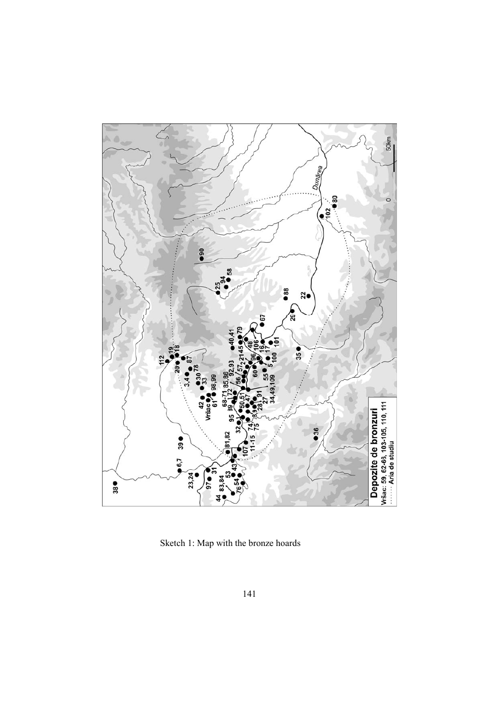

Sketch 1: Map with the bronze hoards